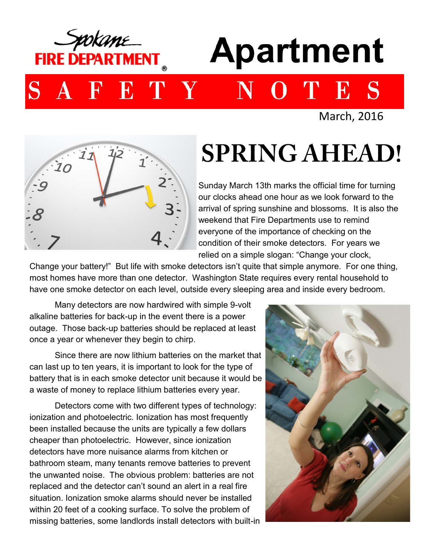

March, 2016



## **SPRING AHEAD!**

Sunday March 13th marks the official time for turning our clocks ahead one hour as we look forward to the arrival of spring sunshine and blossoms. It is also the weekend that Fire Departments use to remind everyone of the importance of checking on the condition of their smoke detectors. For years we relied on a simple slogan: "Change your clock,

Change your battery!" But life with smoke detectors isn't quite that simple anymore. For one thing, most homes have more than one detector. Washington State requires every rental household to have one smoke detector on each level, outside every sleeping area and inside every bedroom.

Many detectors are now hardwired with simple 9-volt alkaline batteries for back-up in the event there is a power outage. Those back-up batteries should be replaced at least once a year or whenever they begin to chirp.

Since there are now lithium batteries on the market that can last up to ten years, it is important to look for the type of battery that is in each smoke detector unit because it would be a waste of money to replace lithium batteries every year.

Detectors come with two different types of technology: ionization and photoelectric. Ionization has most frequently been installed because the units are typically a few dollars cheaper than photoelectric. However, since ionization detectors have more nuisance alarms from kitchen or bathroom steam, many tenants remove batteries to prevent the unwanted noise. The obvious problem: batteries are not replaced and the detector can't sound an alert in a real fire situation. Ionization smoke alarms should never be installed within 20 feet of a cooking surface. To solve the problem of missing batteries, some landlords install detectors with built-in